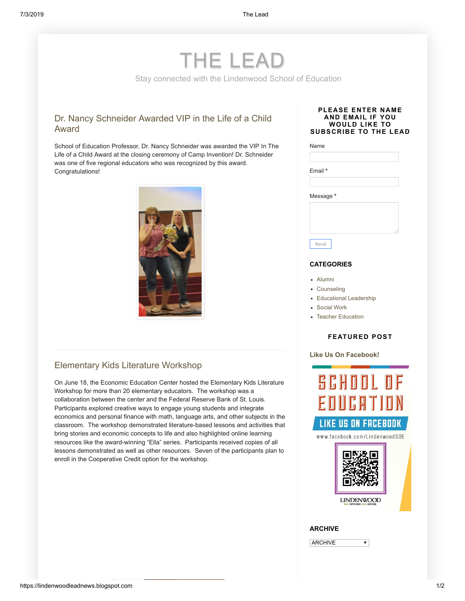# THE LEAD

Stay connected with the Lindenwood School of Education

# [Dr. Nancy Schneider Awarded VIP in the Life of a Child](https://lindenwoodleadnews.blogspot.com/2019/07/dr-nancy-schneider-awarded-vip-in-life.html) Award

School of Education Professor, Dr. Nancy Schneider was awarded the VIP In The Life of a Child Award at the closing ceremony of Camp Invention! Dr. Schneider was one of five regional educators who was recognized by this award. Congratulations!



# [Elementary Kids Literature Workshop](https://lindenwoodleadnews.blogspot.com/2019/07/elementary-kids-literature-workshop.html)

On June 18, the Economic Education Center hosted the Elementary Kids Literature Workshop for more than 20 elementary educators. The workshop was a collaboration between the center and the Federal Reserve Bank of St. Louis. Participants explored creative ways to engage young students and integrate economics and personal finance with math, language arts, and other subjects in the classroom. The workshop demonstrated literature-based lessons and activities that bring stories and economic concepts to life and also highlighted online learning resources like the award-winning "Ella" series. Participants received copies of all lessons demonstrated as well as other resources. Seven of the participants plan to enroll in the Cooperative Credit option for the workshop.

### **PLEASE ENTER NAME AND EMAIL IF YOU WOULD LIKE TO SUBSCRIBE TO THE LEAD**

| Email *   |  |  |
|-----------|--|--|
| Message * |  |  |
|           |  |  |
|           |  |  |

# **CATEGORIES**

- [Alumni](https://lindenwoodleadnews.blogspot.com/search/label/Alumni)
- [Counseling](https://lindenwoodleadnews.blogspot.com/search/label/Counseling)
- [Educational Leadership](https://lindenwoodleadnews.blogspot.com/search/label/Educational%20Leadership)
- [Social Work](https://lindenwoodleadnews.blogspot.com/search/label/Social%20Work)
- [Teacher Education](https://lindenwoodleadnews.blogspot.com/search/label/Teacher%20Education)

#### **FEATURED POST**

## **Like Us On [Facebook!](https://lindenwoodleadnews.blogspot.com/2018/10/like-us-on-facebook.html)**



 $\overline{\mathbf{v}}$ 

### **ARCHIVE**

**ARCHIVE**